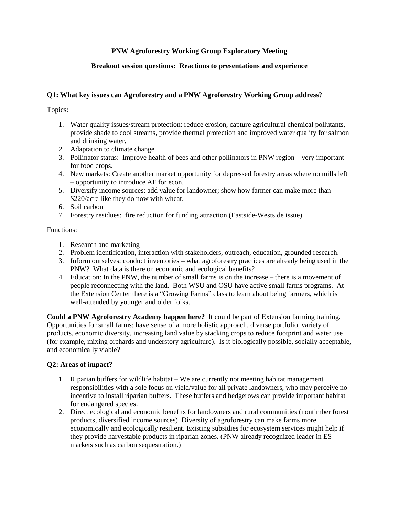# **PNW Agroforestry Working Group Exploratory Meeting**

## **Breakout session questions: Reactions to presentations and experience**

## **Q1: What key issues can Agroforestry and a PNW Agroforestry Working Group address**?

Topics:

- 1. Water quality issues/stream protection: reduce erosion, capture agricultural chemical pollutants, provide shade to cool streams, provide thermal protection and improved water quality for salmon and drinking water.
- 2. Adaptation to climate change
- 3. Pollinator status: Improve health of bees and other pollinators in PNW region very important for food crops.
- 4. New markets: Create another market opportunity for depressed forestry areas where no mills left – opportunity to introduce AF for econ.
- 5. Diversify income sources: add value for landowner; show how farmer can make more than \$220/acre like they do now with wheat.
- 6. Soil carbon
- 7. Forestry residues: fire reduction for funding attraction (Eastside-Westside issue)

#### Functions:

- 1. Research and marketing
- 2. Problem identification, interaction with stakeholders, outreach, education, grounded research.
- 3. Inform ourselves; conduct inventories what agroforestry practices are already being used in the PNW? What data is there on economic and ecological benefits?
- 4. Education: In the PNW, the number of small farms is on the increase there is a movement of people reconnecting with the land. Both WSU and OSU have active small farms programs. At the Extension Center there is a "Growing Farms" class to learn about being farmers, which is well-attended by younger and older folks.

**Could a PNW Agroforestry Academy happen here?** It could be part of Extension farming training. Opportunities for small farms: have sense of a more holistic approach, diverse portfolio, variety of products, economic diversity, increasing land value by stacking crops to reduce footprint and water use (for example, mixing orchards and understory agriculture). Is it biologically possible, socially acceptable, and economically viable?

## **Q2: Areas of impact?**

- 1. Riparian buffers for wildlife habitat We are currently not meeting habitat management responsibilities with a sole focus on yield/value for all private landowners, who may perceive no incentive to install riparian buffers. These buffers and hedgerows can provide important habitat for endangered species.
- 2. Direct ecological and economic benefits for landowners and rural communities (nontimber forest products, diversified income sources). Diversity of agroforestry can make farms more economically and ecologically resilient. Existing subsidies for ecosystem services might help if they provide harvestable products in riparian zones. (PNW already recognized leader in ES markets such as carbon sequestration.)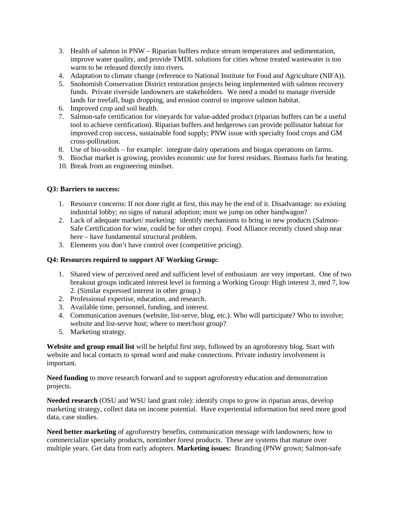- 3. Health of salmon in PNW Riparian buffers reduce stream temperatures and sedimentation, improve water quality, and provide TMDL solutions for cities whose treated wastewater is too warm to be released directly into rivers.
- 4. Adaptation to climate change (reference to National Institute for Food and Agriculture (NIFA)).
- 5. Snohomish Conservation District restoration projects being implemented with salmon recovery funds. Private riverside landowners are stakeholders. We need a model to manage riverside lands for treefall, bugs dropping, and erosion control to improve salmon habitat.
- 6. Improved crop and soil health.
- 7. Salmon-safe certification for vineyards for value-added product (riparian buffers can be a useful tool to achieve certification). Riparian buffers and hedgerows can provide pollinator habitat for improved crop success, sustainable food supply; PNW issue with specialty food crops and GM cross-pollination.
- 8. Use of bio-solids for example: integrate dairy operations and biogas operations on farms.
- 9. Biochar market is growing, provides economic use for forest residues. Biomass fuels for heating.
- 10. Break from an engineering mindset.

## **Q3: Barriers to success:**

- 1. Resource concerns: If not done right at first, this may be the end of it. Disadvantage: no existing industrial lobby; no signs of natural adoption; must we jump on other bandwagon?
- 2. Lack of adequate market/ marketing: identify mechanisms to bring in new products (Salmon-Safe Certification for wine, could be for other crops). Food Alliance recently closed shop near here – have fundamental structural problem.
- 3. Elements you don't have control over (competitive pricing).

## **Q4: Resources required to support AF Working Group:**

- 1. Shared view of perceived need and sufficient level of enthusiasm are very important. One of two breakout groups indicated interest level in forming a Working Group: High interest 3, med 7, low 2. (Similar expressed interest in other group.)
- 2. Professional expertise, education, and research.
- 3. Available time, personnel, funding, and interest.
- 4. Communication avenues (website, list-serve, blog, etc.). Who will participate? Who to involve; website and list-serve host; where to meet/host group?
- 5. Marketing strategy.

**Website and group email list** will be helpful first step, followed by an agroforestry blog. Start with website and local contacts to spread word and make connections. Private industry involvement is important.

**Need funding** to move research forward and to support agroforestry education and demonstration projects.

**Needed research** (OSU and WSU land grant role): identify crops to grow in riparian areas, develop marketing strategy, collect data on income potential. Have experiential information but need more good data, case studies.

**Need better marketing** of agroforestry benefits, communication message with landowners; how to commercialize specialty products, nontimber forest products. These are systems that mature over multiple years. Get data from early adopters. **Marketing issues:** Branding (PNW grown; Salmon-safe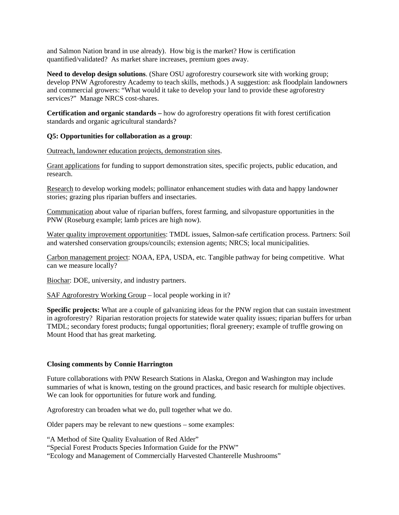and Salmon Nation brand in use already). How big is the market? How is certification quantified/validated? As market share increases, premium goes away.

**Need to develop design solutions**. (Share OSU agroforestry coursework site with working group; develop PNW Agroforestry Academy to teach skills, methods.) A suggestion: ask floodplain landowners and commercial growers: "What would it take to develop your land to provide these agroforestry services?" Manage NRCS cost-shares.

**Certification and organic standards –** how do agroforestry operations fit with forest certification standards and organic agricultural standards?

## **Q5: Opportunities for collaboration as a group**:

Outreach, landowner education projects, demonstration sites.

Grant applications for funding to support demonstration sites, specific projects, public education, and research.

Research to develop working models; pollinator enhancement studies with data and happy landowner stories; grazing plus riparian buffers and insectaries.

Communication about value of riparian buffers, forest farming, and silvopasture opportunities in the PNW (Roseburg example; lamb prices are high now).

Water quality improvement opportunities: TMDL issues, Salmon-safe certification process. Partners: Soil and watershed conservation groups/councils; extension agents; NRCS; local municipalities.

Carbon management project: NOAA, EPA, USDA, etc. Tangible pathway for being competitive. What can we measure locally?

Biochar: DOE, university, and industry partners.

SAF Agroforestry Working Group – local people working in it?

**Specific projects:** What are a couple of galvanizing ideas for the PNW region that can sustain investment in agroforestry? Riparian restoration projects for statewide water quality issues; riparian buffers for urban TMDL; secondary forest products; fungal opportunities; floral greenery; example of truffle growing on Mount Hood that has great marketing.

## **Closing comments by Connie Harrington**

Future collaborations with PNW Research Stations in Alaska, Oregon and Washington may include summaries of what is known, testing on the ground practices, and basic research for multiple objectives. We can look for opportunities for future work and funding.

Agroforestry can broaden what we do, pull together what we do.

Older papers may be relevant to new questions – some examples:

"A Method of Site Quality Evaluation of Red Alder"

"Special Forest Products Species Information Guide for the PNW"

"Ecology and Management of Commercially Harvested Chanterelle Mushrooms"